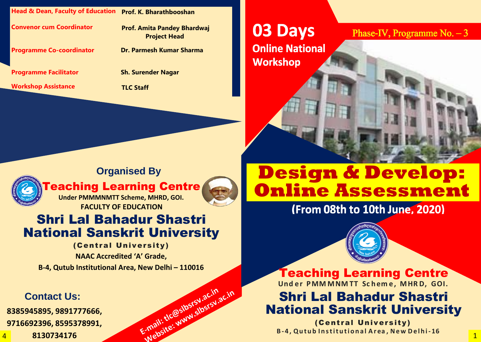**Head & Dean, Faculty of Education Prof. K. Bharathbooshan**

**Convenor cum Coordinator Prof. Amita Pandey Bhardwaj Project Head**

**03 Days Online National Workshop** 





**Programme Co-coordinator Dr. Parmesh Kumar Sharma**

**Teaching Learning Centre Under PMMMNMTT Scheme, MHRD, GOI. FACULTY OF EDUCATION**



E-mail: tlc@slbsrsv.ac.in<br>E-mail: tlc@slbsrsv.ac.in

E-mail: tlc@slbsrsV.ac.in

**Programme Facilitator Sh. Surender Nagar**

**Workshop Assistance TLC Staff**

### **Organised By**

# Shri Lal Bahadur Shastri National Sanskrit University

#### (Central University)

**NAAC Accredited 'A' Grade, B-4, Qutub Institutional Area, New Delhi – 110016**

#### **Contact Us:**

**8385945895, 9891777666, 9716692396, 8595378991,**

4 **8130734176**

# **Design & Develop: Online Assessment**



(Central University)

Teaching Learning Centre **Und er PMM MNM TT Sc hem e, MHR D, GOI.** Shri Lal Bahadur Shastri National Sanskrit University **B- 4 , Qu tu b In stitu ti o n a l A r ea , New De lh i - 16**

### Phase-IV, Programme No.  $-3$